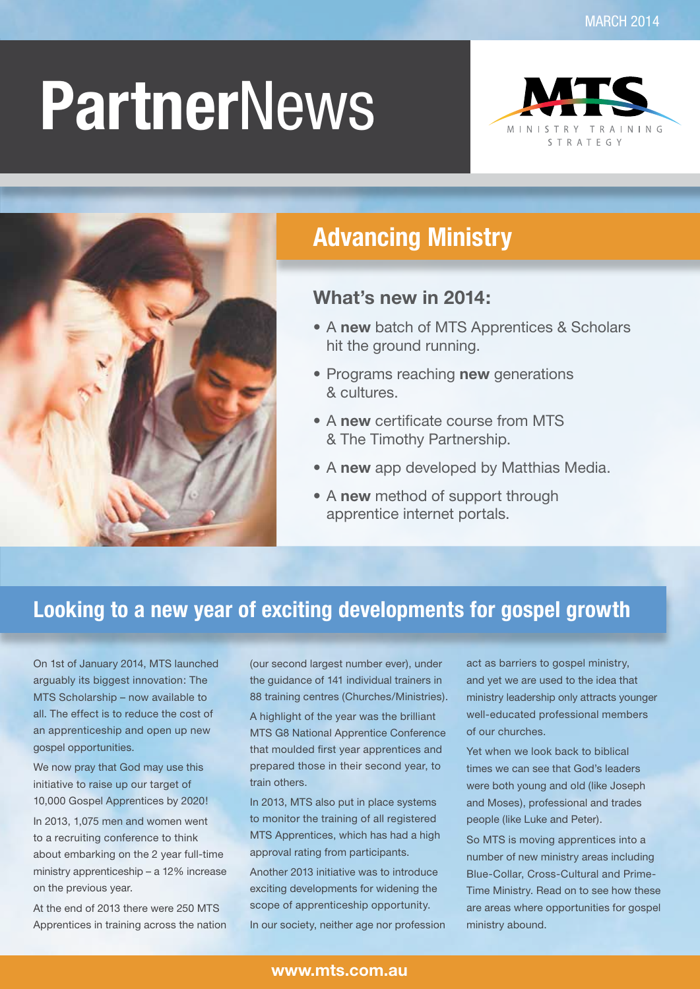# **Partner**News





### **Advancing Ministry**

### **What's new in 2014:**

- • A **new** batch of MTS Apprentices & Scholars hit the ground running.
- • Programs reaching **new** generations & cultures.
- • A **new** certificate course from MTS & The Timothy Partnership.
- A new app developed by Matthias Media.
- • A **new** method of support through apprentice internet portals.

### **Looking to a new year of exciting developments for gospel growth**

On 1st of January 2014, MTS launched arguably its biggest innovation: The MTS Scholarship – now available to all. The effect is to reduce the cost of an apprenticeship and open up new gospel opportunities.

We now pray that God may use this initiative to raise up our target of 10,000 Gospel Apprentices by 2020!

In 2013, 1,075 men and women went to a recruiting conference to think about embarking on the 2 year full-time ministry apprenticeship – a 12% increase on the previous year.

At the end of 2013 there were 250 MTS Apprentices in training across the nation (our second largest number ever), under the guidance of 141 individual trainers in 88 training centres (Churches/Ministries).

A highlight of the year was the brilliant MTS G8 National Apprentice Conference that moulded first year apprentices and prepared those in their second year, to train others.

In 2013, MTS also put in place systems to monitor the training of all registered MTS Apprentices, which has had a high approval rating from participants.

Another 2013 initiative was to introduce exciting developments for widening the scope of apprenticeship opportunity. In our society, neither age nor profession act as barriers to gospel ministry, and yet we are used to the idea that ministry leadership only attracts younger well-educated professional members of our churches.

Yet when we look back to biblical times we can see that God's leaders were both young and old (like Joseph and Moses), professional and trades people (like Luke and Peter).

So MTS is moving apprentices into a number of new ministry areas including Blue-Collar, Cross-Cultural and Prime-Time Ministry. Read on to see how these are areas where opportunities for gospel ministry abound.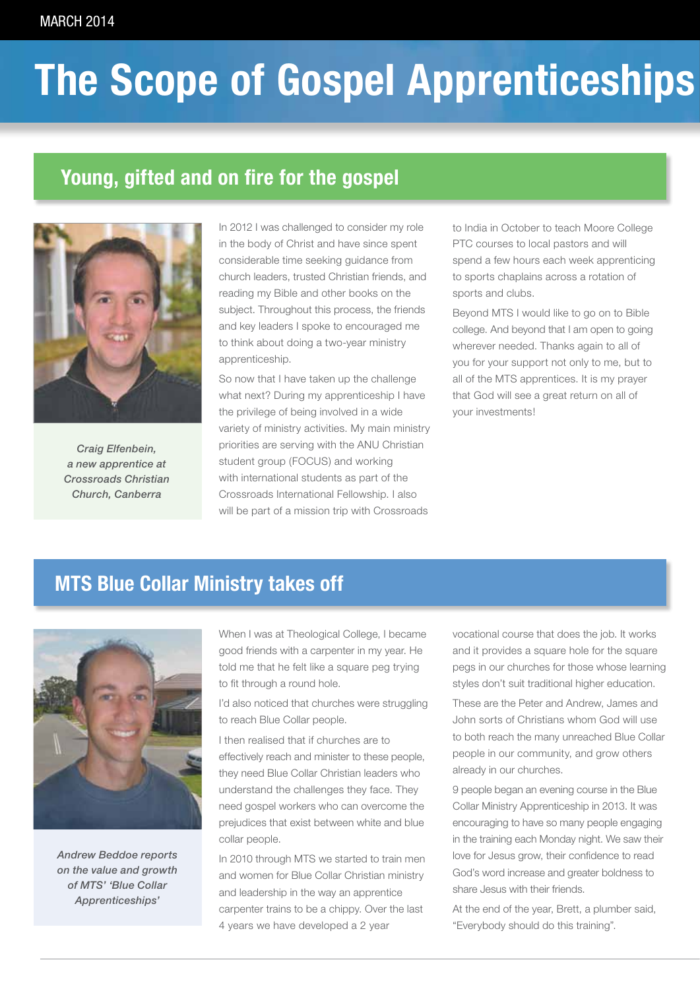## **The Scope of Gospel Apprenticeships**

### **Young, gifted and on fire for the gospel**



*Craig Elfenbein, a new apprentice at Crossroads Christian Church, Canberra*

In 2012 I was challenged to consider my role in the body of Christ and have since spent considerable time seeking guidance from church leaders, trusted Christian friends, and reading my Bible and other books on the subject. Throughout this process, the friends and key leaders I spoke to encouraged me to think about doing a two-year ministry apprenticeship.

So now that I have taken up the challenge what next? During my apprenticeship I have the privilege of being involved in a wide variety of ministry activities. My main ministry priorities are serving with the ANU Christian student group (FOCUS) and working with international students as part of the Crossroads International Fellowship. I also will be part of a mission trip with Crossroads

to India in October to teach Moore College PTC courses to local pastors and will spend a few hours each week apprenticing to sports chaplains across a rotation of sports and clubs.

Beyond MTS I would like to go on to Bible college. And beyond that I am open to going wherever needed. Thanks again to all of you for your support not only to me, but to all of the MTS apprentices. It is my prayer that God will see a great return on all of your investments!

### **MTS Blue Collar Ministry takes off**



*Andrew Beddoe reports on the value and growth of MTS' 'Blue Collar Apprenticeships'*

When I was at Theological College, I became good friends with a carpenter in my year. He told me that he felt like a square peg trying to fit through a round hole.

I'd also noticed that churches were struggling to reach Blue Collar people.

I then realised that if churches are to effectively reach and minister to these people, they need Blue Collar Christian leaders who understand the challenges they face. They need gospel workers who can overcome the prejudices that exist between white and blue collar people.

In 2010 through MTS we started to train men and women for Blue Collar Christian ministry and leadership in the way an apprentice carpenter trains to be a chippy. Over the last 4 years we have developed a 2 year

vocational course that does the job. It works and it provides a square hole for the square pegs in our churches for those whose learning styles don't suit traditional higher education.

These are the Peter and Andrew, James and John sorts of Christians whom God will use to both reach the many unreached Blue Collar people in our community, and grow others already in our churches.

9 people began an evening course in the Blue Collar Ministry Apprenticeship in 2013. It was encouraging to have so many people engaging in the training each Monday night. We saw their love for Jesus grow, their confidence to read God's word increase and greater boldness to share Jesus with their friends.

At the end of the year, Brett, a plumber said, "Everybody should do this training".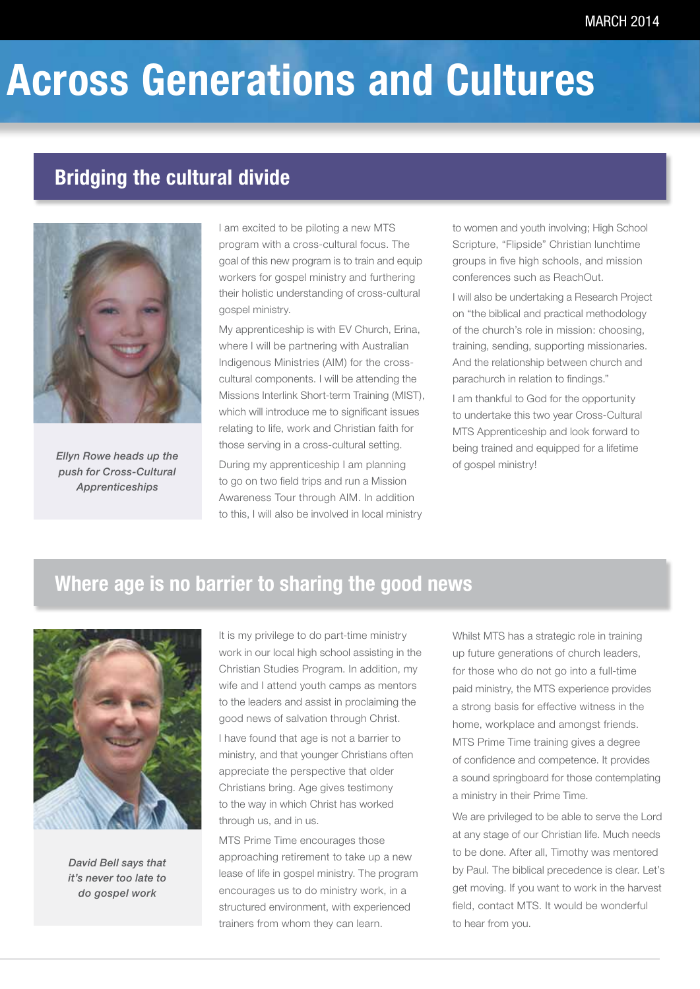### **Across Generations and Cultures**

### **Bridging the cultural divide**



*Ellyn Rowe heads up the push for Cross-Cultural Apprenticeships*

I am excited to be piloting a new MTS program with a cross-cultural focus. The goal of this new program is to train and equip workers for gospel ministry and furthering their holistic understanding of cross-cultural gospel ministry.

My apprenticeship is with EV Church, Erina, where I will be partnering with Australian Indigenous Ministries (AIM) for the crosscultural components. I will be attending the Missions Interlink Short-term Training (MIST), which will introduce me to significant issues relating to life, work and Christian faith for those serving in a cross-cultural setting. During my apprenticeship I am planning to go on two field trips and run a Mission Awareness Tour through AIM. In addition to this, I will also be involved in local ministry

to women and youth involving; High School Scripture, "Flipside" Christian lunchtime groups in five high schools, and mission conferences such as ReachOut.

I will also be undertaking a Research Project on "the biblical and practical methodology of the church's role in mission: choosing, training, sending, supporting missionaries. And the relationship between church and parachurch in relation to findings."

I am thankful to God for the opportunity to undertake this two year Cross-Cultural MTS Apprenticeship and look forward to being trained and equipped for a lifetime of gospel ministry!

### **Where age is no barrier to sharing the good news**



*David Bell says that it's never too late to do gospel work*

It is my privilege to do part-time ministry work in our local high school assisting in the Christian Studies Program. In addition, my wife and I attend youth camps as mentors to the leaders and assist in proclaiming the good news of salvation through Christ.

I have found that age is not a barrier to ministry, and that younger Christians often appreciate the perspective that older Christians bring. Age gives testimony to the way in which Christ has worked through us, and in us.

MTS Prime Time encourages those approaching retirement to take up a new lease of life in gospel ministry. The program encourages us to do ministry work, in a structured environment, with experienced trainers from whom they can learn.

Whilst MTS has a strategic role in training up future generations of church leaders, for those who do not go into a full-time paid ministry, the MTS experience provides a strong basis for effective witness in the home, workplace and amongst friends. MTS Prime Time training gives a degree of confidence and competence. It provides a sound springboard for those contemplating a ministry in their Prime Time.

We are privileged to be able to serve the Lord at any stage of our Christian life. Much needs to be done. After all, Timothy was mentored by Paul. The biblical precedence is clear. Let's get moving. If you want to work in the harvest field, contact MTS. It would be wonderful to hear from you.